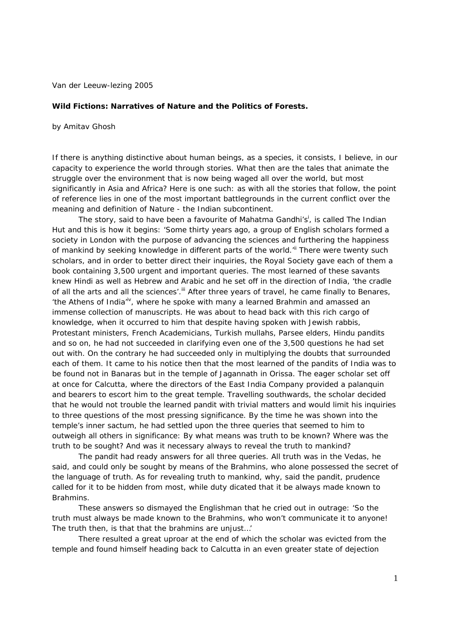Van der Leeuw-lezing 2005

## **Wild Fictions: Narratives of Nature and the Politics of Forests.**

by Amitav Ghosh

If there is anything distinctive about human beings, as a species, it consists, I believe, in our capacity to experience the world through stories. What then are the tales that animate the struggle over the environment that is now being waged all over the world, but most significantly in Asia and Africa? Here is one such: as with all the stories that follow, the point of reference lies in one of the most important battlegrounds in the current conflict over the meaning and definition of Nature - the Indian subcontinent.

The story, said to have been a favourite of Mahatma Gandhi's<sup>i</sup>, is called The Indian *Hut* and this is how it begins: 'Some thirty years ago, a group of English scholars formed a society in London with the purpose of advancing the sciences and furthering the happiness of mankind by seeking knowledge in different parts of the world.<sup>"it</sup> There were twenty such scholars, and in order to better direct their inquiries, the Royal Society gave each of them a book containing 3,500 urgent and important queries. The most learned of these savants knew Hindi as well as Hebrew and Arabic and he set off in the direction of India, 'the cradle of all the arts and all the sciences'.<sup>iii</sup> After three years of travel, he came finally to Benares, 'the Athens of India<sup>iv</sup>, where he spoke with many a learned Brahmin and amassed an immense collection of manuscripts. He was about to head back with this rich cargo of knowledge, when it occurred to him that despite having spoken with Jewish rabbis, Protestant ministers, French Academicians, Turkish mullahs, Parsee elders, Hindu pandits and so on, he had not succeeded in clarifying even one of the 3,500 questions he had set out with. On the contrary he had succeeded only in multiplying the doubts that surrounded each of them. It came to his notice then that the most learned of the pandits of India was to be found not in Banaras but in the temple of Jagannath in Orissa. The eager scholar set off at once for Calcutta, where the directors of the East India Company provided a palanquin and bearers to escort him to the great temple. Travelling southwards, the scholar decided that he would not trouble the learned pandit with trivial matters and would limit his inquiries to three questions of the most pressing significance. By the time he was shown into the temple's inner sactum, he had settled upon the three queries that seemed to him to outweigh all others in significance: By what means was truth to be known? Where was the truth to be sought? And was it necessary always to reveal the truth to mankind?

 The pandit had ready answers for all three queries. All truth was in the Vedas, he said, and could only be sought by means of the Brahmins, who alone possessed the secret of the language of truth. As for revealing truth to mankind, why, said the pandit, prudence called for it to be hidden from most, while duty dicated that it be always made known to Brahmins.

These answers so dismayed the Englishman that he cried out in outrage: 'So the truth must always be made known to the Brahmins, who won't communicate it to anyone! The truth then, is that that the brahmins are unjust…'

 There resulted a great uproar at the end of which the scholar was evicted from the temple and found himself heading back to Calcutta in an even greater state of dejection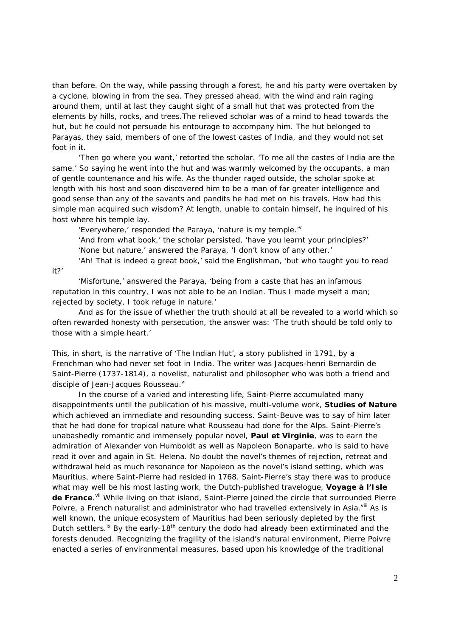than before. On the way, while passing through a forest, he and his party were overtaken by a cyclone, blowing in from the sea. They pressed ahead, with the wind and rain raging around them, until at last they caught sight of a small hut that was protected from the elements by hills, rocks, and trees.The relieved scholar was of a mind to head towards the hut, but he could not persuade his entourage to accompany him. The hut belonged to Parayas, they said, members of one of the lowest castes of India, and they would not set foot in it.

 'Then go where you want,' retorted the scholar. 'To me all the castes of India are the same.' So saying he went into the hut and was warmly welcomed by the occupants, a man of gentle countenance and his wife. As the thunder raged outside, the scholar spoke at length with his host and soon discovered him to be a man of far greater intelligence and good sense than any of the savants and pandits he had met on his travels. How had this simple man acquired such wisdom? At length, unable to contain himself, he inquired of his host where his temple lay.

'Everywhere,' responded the Paraya, 'nature is my temple. $v^{\prime}$ 

it?'

 'And from what book,' the scholar persisted, 'have you learnt your principles?' 'None but nature,' answered the Paraya, 'I don't know of any other.'

'Ah! That is indeed a great book,' said the Englishman, 'but who taught you to read

 'Misfortune,' answered the Paraya, 'being from a caste that has an infamous reputation in this country, I was not able to be an Indian. Thus I made myself a man; rejected by society, I took refuge in nature.'

 And as for the issue of whether the truth should at all be revealed to a world which so often rewarded honesty with persecution, the answer was: 'The truth should be told only to those with a simple heart.'

This, in short, is the narrative of 'The Indian Hut', a story published in 1791, by a Frenchman who had never set foot in India. The writer was Jacques-henri Bernardin de Saint-Pierre (1737-1814), a novelist, naturalist and philosopher who was both a friend and disciple of Jean-Jacques Rousseau. Vi

In the course of a varied and interesting life, Saint-Pierre accumulated many disappointments until the publication of his massive, multi-volume work, **Studies of Nature**  which achieved an immediate and resounding success. Saint-Beuve was to say of him later that he had done for tropical nature what Rousseau had done for the Alps. Saint-Pierre's unabashedly romantic and immensely popular novel, **Paul et Virginie**, was to earn the admiration of Alexander von Humboldt as well as Napoleon Bonaparte, who is said to have read it over and again in St. Helena. No doubt the novel's themes of rejection, retreat and withdrawal held as much resonance for Napoleon as the novel's island setting, which was Mauritius, where Saint-Pierre had resided in 1768. Saint-Pierre's stay there was to produce what may well be his most lasting work, the Dutch-published travelogue, **Voyage à l'Isle**  de France.<sup>vii</sup> While living on that island, Saint-Pierre joined the circle that surrounded Pierre Poivre, a French naturalist and administrator who had travelled extensively in Asia.<sup>viii</sup> As is well known, the unique ecosystem of Mauritius had been seriously depleted by the first Dutch settlers.<sup>ix</sup> By the early-18<sup>th</sup> century the dodo had already been extirminated and the forests denuded. Recognizing the fragility of the island's natural environment, Pierre Poivre enacted a series of environmental measures, based upon his knowledge of the traditional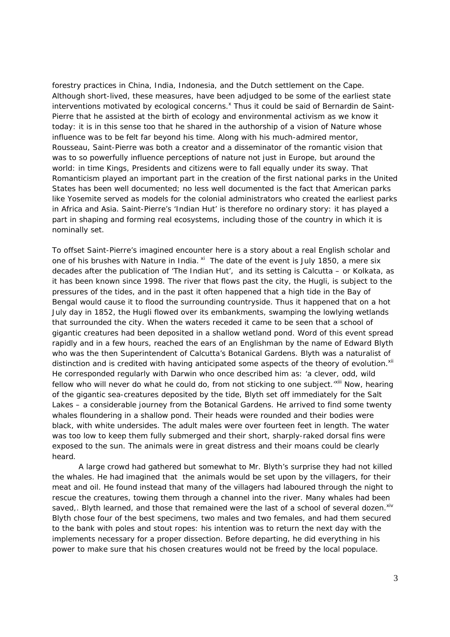forestry practices in China, India, Indonesia, and the Dutch settlement on the Cape. Although short-lived, these measures, have been adjudged to be some of the earliest state interventions motivated by ecological concerns.<sup>x</sup> Thus it could be said of Bernardin de Saint-Pierre that he assisted at the birth of ecology and environmental activism as we know it today: it is in this sense too that he shared in the authorship of a vision of Nature whose influence was to be felt far beyond his time. Along with his much-admired mentor, Rousseau, Saint-Pierre was both a creator and a disseminator of the romantic vision that was to so powerfully influence perceptions of nature not just in Europe, but around the world: in time Kings, Presidents and citizens were to fall equally under its sway. That Romanticism played an important part in the creation of the first national parks in the United States has been well documented; no less well documented is the fact that American parks like Yosemite served as models for the colonial administrators who created the earliest parks in Africa and Asia. Saint-Pierre's 'Indian Hut' is therefore no ordinary story: it has played a part in shaping and forming real ecosystems, including those of the country in which it is nominally set.

To offset Saint-Pierre's imagined encounter here is a story about a real English scholar and one of his brushes with Nature in India. <sup>xi</sup> The date of the event is July 1850, a mere six decades after the publication of 'The Indian Hut', and its setting is Calcutta – or Kolkata, as it has been known since 1998. The river that flows past the city, the Hugli, is subject to the pressures of the tides, and in the past it often happened that a high tide in the Bay of Bengal would cause it to flood the surrounding countryside. Thus it happened that on a hot July day in 1852, the Hugli flowed over its embankments, swamping the lowlying wetlands that surrounded the city. When the waters receded it came to be seen that a school of gigantic creatures had been deposited in a shallow wetland pond. Word of this event spread rapidly and in a few hours, reached the ears of an Englishman by the name of Edward Blyth who was the then Superintendent of Calcutta's Botanical Gardens. Blyth was a naturalist of distinction and is credited with having anticipated some aspects of the theory of evolution.<sup>xii</sup> He corresponded regularly with Darwin who once described him as: 'a clever, odd, wild fellow who will never do what he could do, from not sticking to one subject.'<sup>Xiii</sup> Now, hearing of the gigantic sea-creatures deposited by the tide, Blyth set off immediately for the Salt Lakes – a considerable journey from the Botanical Gardens. He arrived to find some twenty whales floundering in a shallow pond. Their heads were rounded and their bodies were black, with white undersides. The adult males were over fourteen feet in length. The water was too low to keep them fully submerged and their short, sharply-raked dorsal fins were exposed to the sun. The animals were in great distress and their moans could be clearly heard.

A large crowd had gathered but somewhat to Mr. Blyth's surprise they had not killed the whales. He had imagined that the animals would be set upon by the villagers, for their meat and oil. He found instead that many of the villagers had laboured through the night to rescue the creatures, towing them through a channel into the river. Many whales had been saved,. Blyth learned, and those that remained were the last of a school of several dozen. $x^{iv}$ Blyth chose four of the best specimens, two males and two females, and had them secured to the bank with poles and stout ropes: his intention was to return the next day with the implements necessary for a proper dissection. Before departing, he did everything in his power to make sure that his chosen creatures would not be freed by the local populace.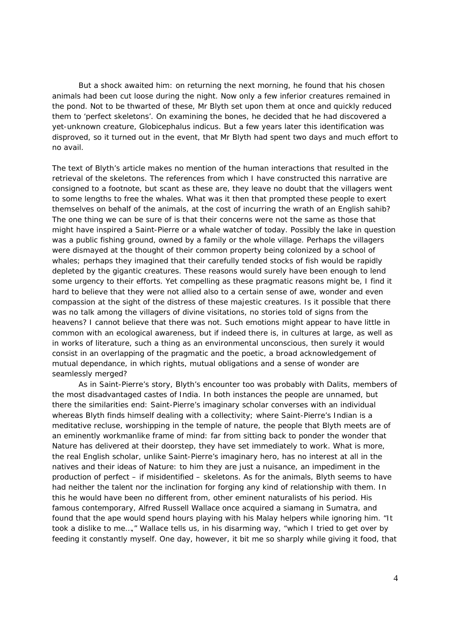But a shock awaited him: on returning the next morning, he found that his chosen animals had been cut loose during the night. Now only a few inferior creatures remained in the pond. Not to be thwarted of these, Mr Blyth set upon them at once and quickly reduced them to 'perfect skeletons'. On examining the bones, he decided that he had discovered a yet-unknown creature, *Globicephalus indicus*. But a few years later this identification was disproved, so it turned out in the event, that Mr Blyth had spent two days and much effort to no avail.

The text of Blyth's article makes no mention of the human interactions that resulted in the retrieval of the skeletons. The references from which I have constructed this narrative are consigned to a footnote, but scant as these are, they leave no doubt that the villagers went to some lengths to free the whales. What was it then that prompted these people to exert themselves on behalf of the animals, at the cost of incurring the wrath of an English sahib? The one thing we can be sure of is that their concerns were not the same as those that might have inspired a Saint-Pierre or a whale watcher of today. Possibly the lake in question was a public fishing ground, owned by a family or the whole village. Perhaps the villagers were dismayed at the thought of their common property being colonized by a school of whales; perhaps they imagined that their carefully tended stocks of fish would be rapidly depleted by the gigantic creatures. These reasons would surely have been enough to lend some urgency to their efforts. Yet compelling as these pragmatic reasons might be, I find it hard to believe that they were not allied also to a certain sense of awe, wonder and even compassion at the sight of the distress of these majestic creatures. Is it possible that there was no talk among the villagers of divine visitations, no stories told of signs from the heavens? I cannot believe that there was not. Such emotions might appear to have little in common with an ecological awareness, but if indeed there is, in cultures at large, as well as in works of literature, such a thing as an environmental unconscious, then surely it would consist in an overlapping of the pragmatic and the poetic, a broad acknowledgement of mutual dependance, in which rights, mutual obligations and a sense of wonder are seamlessly merged?

 As in Saint-Pierre's story, Blyth's encounter too was probably with Dalits, members of the most disadvantaged castes of India. In both instances the people are unnamed, but there the similarities end: Saint-Pierre's imaginary scholar converses with an individual whereas Blyth finds himself dealing with a collectivity; where Saint-Pierre's Indian is a meditative recluse, worshipping in the temple of nature, the people that Blyth meets are of an eminently workmanlike frame of mind: far from sitting back to ponder the wonder that Nature has delivered at their doorstep, they have set immediately to work. What is more, the real English scholar, unlike Saint-Pierre's imaginary hero, has no interest at all in the natives and their ideas of Nature: to him they are just a nuisance, an impediment in the production of perfect – if misidentified – skeletons. As for the animals, Blyth seems to have had neither the talent nor the inclination for forging any kind of relationship with them. In this he would have been no different from, other eminent naturalists of his period. His famous contemporary, Alfred Russell Wallace once acquired a siamang in Sumatra, and found that the ape would spend hours playing with his Malay helpers while ignoring him. "It took a dislike to me…," Wallace tells us, in his disarming way, "which I tried to get over by feeding it constantly myself. One day, however, it bit me so sharply while giving it food, that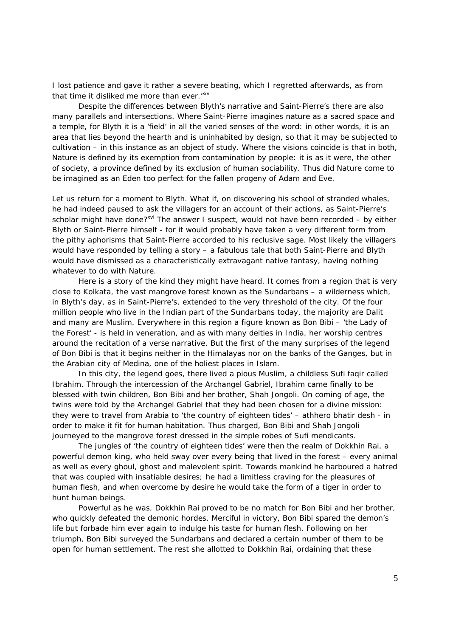I lost patience and gave it rather a severe beating, which I regretted afterwards, as from that time it disliked me more than ever."<sup>xv</sup>

 Despite the differences between Blyth's narrative and Saint-Pierre's there are also many parallels and intersections. Where Saint-Pierre imagines nature as a sacred space and a temple, for Blyth it is a 'field' in all the varied senses of the word: in other words, it is an area that lies beyond the hearth and is uninhabited by design, so that it may be subjected to cultivation – in this instance as an object of study. Where the visions coincide is that in both, Nature is defined by its exemption from contamination by people: it is as it were, the other of society, a province defined by its exclusion of human sociability. Thus did Nature come to be imagined as an Eden too perfect for the fallen progeny of Adam and Eve.

Let us return for a moment to Blyth. What if, on discovering his school of stranded whales, he had indeed paused to ask the villagers for an account of their actions, as Saint-Pierre's scholar might have done?<sup>xvi</sup> The answer I suspect, would not have been recorded – by either Blyth or Saint-Pierre himself - for it would probably have taken a very different form from the pithy aphorisms that Saint-Pierre accorded to his reclusive sage. Most likely the villagers would have responded by telling a story – a fabulous tale that both Saint-Pierre and Blyth would have dismissed as a characteristically extravagant native fantasy, having nothing whatever to do with Nature.

Here is a story of the kind they might have heard. It comes from a region that is very close to Kolkata, the vast mangrove forest known as the Sundarbans – a wilderness which, in Blyth's day, as in Saint-Pierre's, extended to the very threshold of the city. Of the four million people who live in the Indian part of the Sundarbans today, the majority are Dalit and many are Muslim. Everywhere in this region a figure known as Bon Bibi – 'the Lady of the Forest' - is held in veneration, and as with many deities in India, her worship centres around the recitation of a verse narrative. But the first of the many surprises of the legend of Bon Bibi is that it begins neither in the Himalayas nor on the banks of the Ganges, but in the Arabian city of Medina, one of the holiest places in Islam.

In this city, the legend goes, there lived a pious Muslim, a childless Sufi *faqir* called Ibrahim. Through the intercession of the Archangel Gabriel, Ibrahim came finally to be blessed with twin children, Bon Bibi and her brother, Shah Jongoli. On coming of age, the twins were told by the Archangel Gabriel that they had been chosen for a divine mission: they were to travel from Arabia to 'the country of eighteen tides' – *athhero bhatir desh* - in order to make it fit for human habitation. Thus charged, Bon Bibi and Shah Jongoli journeyed to the mangrove forest dressed in the simple robes of Sufi mendicants.

 The jungles of 'the country of eighteen tides' were then the realm of Dokkhin Rai, a powerful demon king, who held sway over every being that lived in the forest – every animal as well as every ghoul, ghost and malevolent spirit. Towards mankind he harboured a hatred that was coupled with insatiable desires; he had a limitless craving for the pleasures of human flesh, and when overcome by desire he would take the form of a tiger in order to hunt human beings.

 Powerful as he was, Dokkhin Rai proved to be no match for Bon Bibi and her brother, who quickly defeated the demonic hordes. Merciful in victory, Bon Bibi spared the demon's life but forbade him ever again to indulge his taste for human flesh. Following on her triumph, Bon Bibi surveyed the Sundarbans and declared a certain number of them to be open for human settlement. The rest she allotted to Dokkhin Rai, ordaining that these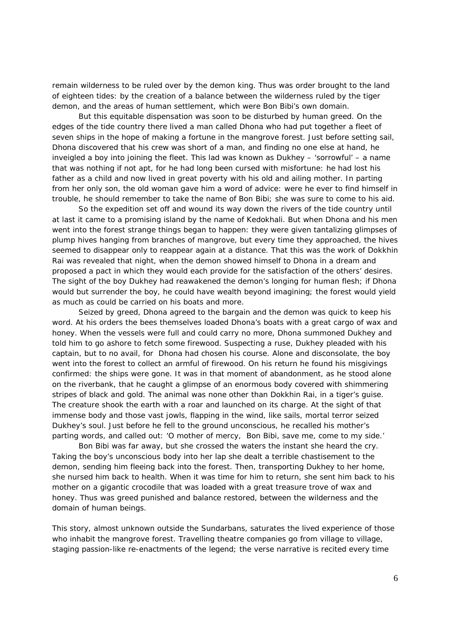remain wilderness to be ruled over by the demon king. Thus was order brought to the land of eighteen tides: by the creation of a balance between the wilderness ruled by the tiger demon, and the areas of human settlement, which were Bon Bibi's own domain.

But this equitable dispensation was soon to be disturbed by human greed. On the edges of the tide country there lived a man called Dhona who had put together a fleet of seven ships in the hope of making a fortune in the mangrove forest. Just before setting sail, Dhona discovered that his crew was short of a man, and finding no one else at hand, he inveigled a boy into joining the fleet. This lad was known as Dukhey – 'sorrowful' – a name that was nothing if not apt, for he had long been cursed with misfortune: he had lost his father as a child and now lived in great poverty with his old and ailing mother. In parting from her only son, the old woman gave him a word of advice: were he ever to find himself in trouble, he should remember to take the name of Bon Bibi; she was sure to come to his aid.

 So the expedition set off and wound its way down the rivers of the tide country until at last it came to a promising island by the name of Kedokhali. But when Dhona and his men went into the forest strange things began to happen: they were given tantalizing glimpses of plump hives hanging from branches of mangrove, but every time they approached, the hives seemed to disappear only to reappear again at a distance. That this was the work of Dokkhin Rai was revealed that night, when the demon showed himself to Dhona in a dream and proposed a pact in which they would each provide for the satisfaction of the others' desires. The sight of the boy Dukhey had reawakened the demon's longing for human flesh; if Dhona would but surrender the boy, he could have wealth beyond imagining; the forest would yield as much as could be carried on his boats and more.

 Seized by greed, Dhona agreed to the bargain and the demon was quick to keep his word. At his orders the bees themselves loaded Dhona's boats with a great cargo of wax and honey. When the vessels were full and could carry no more, Dhona summoned Dukhey and told him to go ashore to fetch some firewood. Suspecting a ruse, Dukhey pleaded with his captain, but to no avail, for Dhona had chosen his course. Alone and disconsolate, the boy went into the forest to collect an armful of firewood. On his return he found his misgivings confirmed: the ships were gone. It was in that moment of abandonment, as he stood alone on the riverbank, that he caught a glimpse of an enormous body covered with shimmering stripes of black and gold. The animal was none other than Dokkhin Rai, in a tiger's guise. The creature shook the earth with a roar and launched on its charge. At the sight of that immense body and those vast jowls, flapping in the wind, like sails, mortal terror seized Dukhey's soul. Just before he fell to the ground unconscious, he recalled his mother's parting words, and called out: 'O mother of mercy, Bon Bibi, save me, come to my side.'

 Bon Bibi was far away, but she crossed the waters the instant she heard the cry. Taking the boy's unconscious body into her lap she dealt a terrible chastisement to the demon, sending him fleeing back into the forest. Then, transporting Dukhey to her home, she nursed him back to health. When it was time for him to return, she sent him back to his mother on a gigantic crocodile that was loaded with a great treasure trove of wax and honey. Thus was greed punished and balance restored, between the wilderness and the domain of human beings.

This story, almost unknown outside the Sundarbans, saturates the lived experience of those who inhabit the mangrove forest. Travelling theatre companies go from village to village, staging passion-like re-enactments of the legend; the verse narrative is recited every time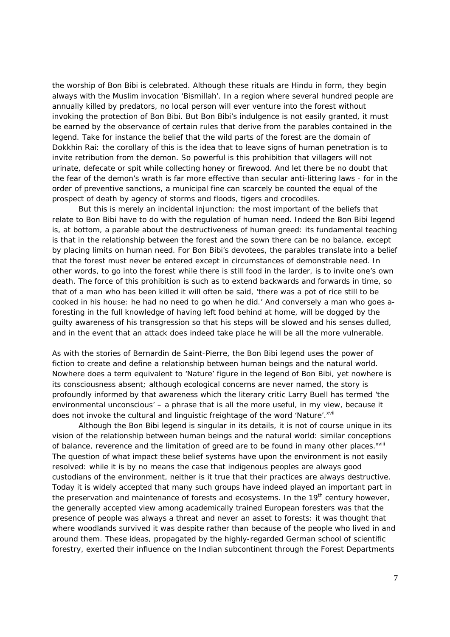the worship of Bon Bibi is celebrated. Although these rituals are Hindu in form, they begin always with the Muslim invocation 'Bismillah'. In a region where several hundred people are annually killed by predators, no local person will ever venture into the forest without invoking the protection of Bon Bibi. But Bon Bibi's indulgence is not easily granted, it must be earned by the observance of certain rules that derive from the parables contained in the legend. Take for instance the belief that the wild parts of the forest are the domain of Dokkhin Rai: the corollary of this is the idea that to leave signs of human penetration is to invite retribution from the demon. So powerful is this prohibition that villagers will not urinate, defecate or spit while collecting honey or firewood. And let there be no doubt that the fear of the demon's wrath is far more effective than secular anti-littering laws - for in the order of preventive sanctions, a municipal fine can scarcely be counted the equal of the prospect of death by agency of storms and floods, tigers and crocodiles.

 But this is merely an incidental injunction: the most important of the beliefs that relate to Bon Bibi have to do with the regulation of human need. Indeed the Bon Bibi legend is, at bottom, a parable about the destructiveness of human greed: its fundamental teaching is that in the relationship between the forest and the sown there can be no balance, except by placing limits on human need. For Bon Bibi's devotees, the parables translate into a belief that the forest must never be entered except in circumstances of demonstrable need. In other words, to go into the forest while there is still food in the larder, is to invite one's own death. The force of this prohibition is such as to extend backwards and forwards in time, so that of a man who has been killed it will often be said, 'there was a pot of rice still to be cooked in his house: he had no need to go when he did.' And conversely a man who goes aforesting in the full knowledge of having left food behind at home, will be dogged by the guilty awareness of his transgression so that his steps will be slowed and his senses dulled, and in the event that an attack does indeed take place he will be all the more vulnerable.

As with the stories of Bernardin de Saint-Pierre, the Bon Bibi legend uses the power of fiction to create and define a relationship between human beings and the natural world. Nowhere does a term equivalent to 'Nature' figure in the legend of Bon Bibi, yet nowhere is its consciousness absent; although ecological concerns are never named, the story is profoundly informed by that awareness which the literary critic Larry Buell has termed 'the environmental unconscious' – a phrase that is all the more useful, in my view, because it does not invoke the cultural and linguistic freightage of the word 'Nature'.<sup>xvii</sup>

Although the Bon Bibi legend is singular in its details, it is not of course unique in its vision of the relationship between human beings and the natural world: similar conceptions of balance, reverence and the limitation of greed are to be found in many other places.<sup>xviii</sup> The question of what impact these belief systems have upon the environment is not easily resolved: while it is by no means the case that indigenous peoples are always good custodians of the environment, neither is it true that their practices are always destructive. Today it is widely accepted that many such groups have indeed played an important part in the preservation and maintenance of forests and ecosystems. In the  $19<sup>th</sup>$  century however, the generally accepted view among academically trained European foresters was that the presence of people was always a threat and never an asset to forests: it was thought that where woodlands survived it was despite rather than because of the people who lived in and around them. These ideas, propagated by the highly-regarded German school of scientific forestry, exerted their influence on the Indian subcontinent through the Forest Departments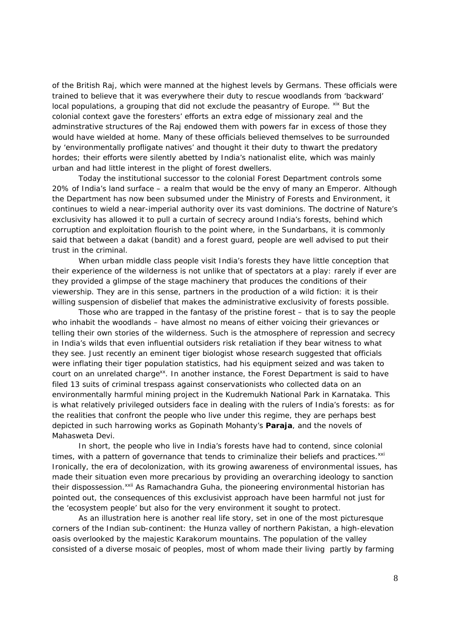of the British Raj, which were manned at the highest levels by Germans. These officials were trained to believe that it was everywhere their duty to rescue woodlands from 'backward' local populations, a grouping that did not exclude the peasantry of Europe. xix But the colonial context gave the foresters' efforts an extra edge of missionary zeal and the adminstrative structures of the Raj endowed them with powers far in excess of those they would have wielded at home. Many of these officials believed themselves to be surrounded by 'environmentally profligate natives' and thought it their duty to thwart the predatory hordes; their efforts were silently abetted by India's nationalist elite, which was mainly urban and had little interest in the plight of forest dwellers.

Today the institutional successor to the colonial Forest Department controls some 20% of India's land surface – a realm that would be the envy of many an Emperor. Although the Department has now been subsumed under the Ministry of Forests and Environment, it continues to wield a near-imperial authority over its vast dominions. The doctrine of Nature's exclusivity has allowed it to pull a curtain of secrecy around India's forests, behind which corruption and exploitation flourish to the point where, in the Sundarbans, it is commonly said that between a *dakat* (bandit) and a forest guard, people are well advised to put their trust in the criminal.

When urban middle class people visit India's forests they have little conception that their experience of the wilderness is not unlike that of spectators at a play: rarely if ever are they provided a glimpse of the stage machinery that produces the conditions of their viewership. They are in this sense, partners in the production of a wild fiction: it is their willing suspension of disbelief that makes the administrative exclusivity of forests possible.

Those who are trapped in the fantasy of the pristine forest – that is to say the people who inhabit the woodlands – have almost no means of either voicing their grievances or telling their own stories of the wilderness. Such is the atmosphere of repression and secrecy in India's wilds that even influential outsiders risk retaliation if they bear witness to what they see. Just recently an eminent tiger biologist whose research suggested that officials were inflating their tiger population statistics, had his equipment seized and was taken to court on an unrelated charge<sup>xx</sup>. In another instance, the Forest Department is said to have filed 13 suits of criminal trespass against conservationists who collected data on an environmentally harmful mining project in the Kudremukh National Park in Karnataka. This is what relatively privileged outsiders face in dealing with the rulers of India's forests: as for the realities that confront the people who live under this regime, they are perhaps best depicted in such harrowing works as Gopinath Mohanty's **Paraja**, and the novels of Mahasweta Devi.

In short, the people who live in India's forests have had to contend, since colonial times, with a pattern of governance that tends to criminalize their beliefs and practices.<sup>xxi</sup> Ironically, the era of decolonization, with its growing awareness of environmental issues, has made their situation even more precarious by providing an overarching ideology to sanction their dispossession.<sup>xxii</sup> As Ramachandra Guha, the pioneering environmental historian has pointed out, the consequences of this exclusivist approach have been harmful not just for the 'ecosystem people' but also for the very environment it sought to protect.

As an illustration here is another real life story, set in one of the most picturesque corners of the Indian sub-continent: the Hunza valley of northern Pakistan, a high-elevation oasis overlooked by the majestic Karakorum mountains. The population of the valley consisted of a diverse mosaic of peoples, most of whom made their living partly by farming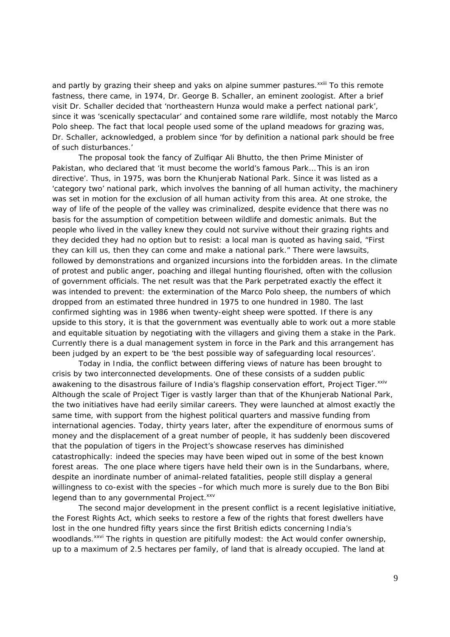and partly by grazing their sheep and yaks on alpine summer pastures.<sup>xxiii</sup> To this remote fastness, there came, in 1974, Dr. George B. Schaller, an eminent zoologist. After a brief visit Dr. Schaller decided that 'northeastern Hunza would make a perfect national park', since it was 'scenically spectacular' and contained some rare wildlife, most notably the Marco Polo sheep. The fact that local people used some of the upland meadows for grazing was, Dr. Schaller, acknowledged, a problem since 'for by definition a national park should be free of such disturbances.'

The proposal took the fancy of Zulfiqar Ali Bhutto, the then Prime Minister of Pakistan, who declared that 'it must become the world's famous Park… This is an iron directive'. Thus, in 1975, was born the Khunjerab National Park. Since it was listed as a 'category two' national park, which involves the banning of all human activity, the machinery was set in motion for the exclusion of all human activity from this area. At one stroke, the way of life of the people of the valley was criminalized, despite evidence that there was no basis for the assumption of competition between wildlife and domestic animals. But the people who lived in the valley knew they could not survive without their grazing rights and they decided they had no option but to resist: a local man is quoted as having said, "First they can kill us, then they can come and make a national park." There were lawsuits, followed by demonstrations and organized incursions into the forbidden areas. In the climate of protest and public anger, poaching and illegal hunting flourished, often with the collusion of government officials. The net result was that the Park perpetrated exactly the effect it was intended to prevent: the extermination of the Marco Polo sheep, the numbers of which dropped from an estimated three hundred in 1975 to one hundred in 1980. The last confirmed sighting was in 1986 when twenty-eight sheep were spotted. If there is any upside to this story, it is that the government was eventually able to work out a more stable and equitable situation by negotiating with the villagers and giving them a stake in the Park. Currently there is a dual management system in force in the Park and this arrangement has been judged by an expert to be 'the best possible way of safeguarding local resources'.

Today in India, the conflict between differing views of nature has been brought to crisis by two interconnected developments. One of these consists of a sudden public awakening to the disastrous failure of India's flagship conservation effort, Project Tiger. xxiv Although the scale of Project Tiger is vastly larger than that of the Khunjerab National Park, the two initiatives have had eerily similar careers. They were launched at almost exactly the same time, with support from the highest political quarters and massive funding from international agencies. Today, thirty years later, after the expenditure of enormous sums of money and the displacement of a great number of people, it has suddenly been discovered that the population of tigers in the Project's showcase reserves has diminished catastrophically: indeed the species may have been wiped out in some of the best known forest areas. The one place where tigers have held their own is in the Sundarbans, where, despite an inordinate number of animal-related fatalities, people still display a general willingness to co-exist with the species –for which much more is surely due to the Bon Bibi legend than to any governmental Project.<sup>xxv</sup>

The second major development in the present conflict is a recent legislative initiative, the Forest Rights Act, which seeks to restore a few of the rights that forest dwellers have lost in the one hundred fifty years since the first British edicts concerning India's woodlands.<sup>xxvi</sup> The rights in question are pitifully modest: the Act would confer ownership, up to a maximum of 2.5 hectares per family, of land that is already occupied. The land at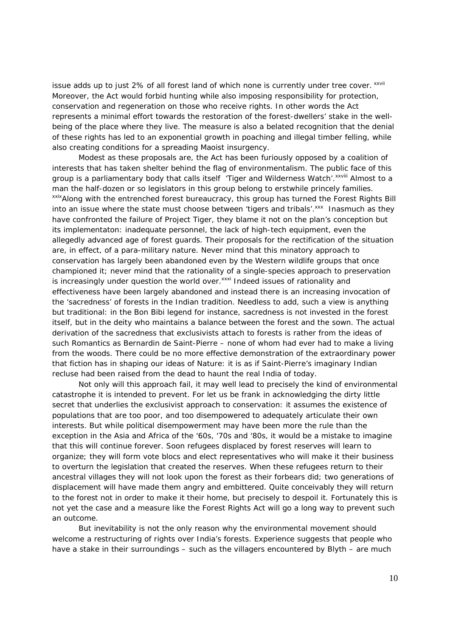issue adds up to just 2% of all forest land of which none is currently under tree cover. xxvii Moreover, the Act would forbid hunting while also imposing responsibility for protection, conservation and regeneration on those who receive rights. In other words the Act represents a minimal effort towards the restoration of the forest-dwellers' stake in the wellbeing of the place where they live. The measure is also a belated recognition that the denial of these rights has led to an exponential growth in poaching and illegal timber felling, while also creating conditions for a spreading Maoist insurgency.

Modest as these proposals are, the Act has been furiously opposed by a coalition of interests that has taken shelter behind the flag of environmentalism. The public face of this group is a parliamentary body that calls itself 'Tiger and Wilderness Watch'. XXVIII Almost to a man the half-dozen or so legislators in this group belong to erstwhile princely families. xxix Along with the entrenched forest bureaucracy, this group has turned the Forest Rights Bill into an issue where the state must choose between 'tigers and tribals'.<sup>xxx</sup> Inasmuch as they have confronted the failure of Project Tiger, they blame it not on the plan's conception but its implementaton: inadequate personnel, the lack of high-tech equipment, even the allegedly advanced age of forest guards. Their proposals for the rectification of the situation are, in effect, of a para-military nature. Never mind that this minatory approach to conservation has largely been abandoned even by the Western wildlife groups that once championed it; never mind that the rationality of a single-species approach to preservation is increasingly under question the world over. xxxi Indeed issues of rationality and effectiveness have been largely abandoned and instead there is an increasing invocation of the 'sacredness' of forests in the Indian tradition. Needless to add, such a view is anything but traditional: in the Bon Bibi legend for instance, sacredness is not invested in the forest itself, but in the deity who maintains a balance between the forest and the sown. The actual derivation of the sacredness that exclusivists attach to forests is rather from the ideas of such Romantics as Bernardin de Saint-Pierre – none of whom had ever had to make a living from the woods. There could be no more effective demonstration of the extraordinary power that fiction has in shaping our ideas of Nature: it is as if Saint-Pierre's imaginary Indian recluse had been raised from the dead to haunt the real India of today.

 Not only will this approach fail, it may well lead to precisely the kind of environmental catastrophe it is intended to prevent. For let us be frank in acknowledging the dirty little secret that underlies the exclusivist approach to conservation: it assumes the existence of populations that are too poor, and too disempowered to adequately articulate their own interests. But while political disempowerment may have been more the rule than the exception in the Asia and Africa of the '60s, '70s and '80s, it would be a mistake to imagine that this will continue forever. Soon refugees displaced by forest reserves will learn to organize; they will form vote blocs and elect representatives who will make it their business to overturn the legislation that created the reserves. When these refugees return to their ancestral villages they will not look upon the forest as their forbears did; two generations of displacement will have made them angry and embittered. Quite conceivably they will return to the forest not in order to make it their home, but precisely to despoil it. Fortunately this is not yet the case and a measure like the Forest Rights Act will go a long way to prevent such an outcome.

But inevitability is not the only reason why the environmental movement should welcome a restructuring of rights over India's forests. Experience suggests that people who have a stake in their surroundings – such as the villagers encountered by Blyth – are much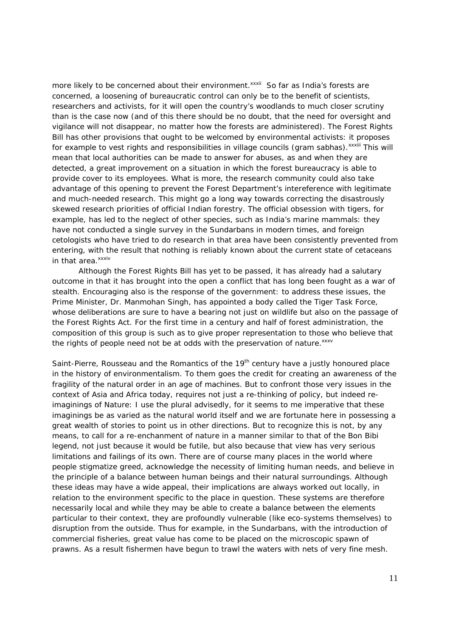more likely to be concerned about their environment.<sup>xxxii</sup> So far as India's forests are concerned, a loosening of bureaucratic control can only be to the benefit of scientists, researchers and activists, for it will open the country's woodlands to much closer scrutiny than is the case now (and of this there should be no doubt, that the need for oversight and vigilance will not disappear, no matter how the forests are administered). The Forest Rights Bill has other provisions that ought to be welcomed by environmental activists: it proposes for example to vest rights and responsibilities in village councils (*gram sabhas*).<sup>xxxiii</sup> This will mean that local authorities can be made to answer for abuses, as and when they are detected, a great improvement on a situation in which the forest bureaucracy is able to provide cover to its employees. What is more, the research community could also take advantage of this opening to prevent the Forest Department's intereference with legitimate and much-needed research. This might go a long way towards correcting the disastrously skewed research priorities of official Indian forestry. The official obsession with tigers, for example, has led to the neglect of other species, such as India's marine mammals: they have not conducted a single survey in the Sundarbans in modern times, and foreign cetologists who have tried to do research in that area have been consistently prevented from entering, with the result that nothing is reliably known about the current state of cetaceans in that area.<sup>xxxiv</sup>

Although the Forest Rights Bill has yet to be passed, it has already had a salutary outcome in that it has brought into the open a conflict that has long been fought as a war of stealth. Encouraging also is the response of the government: to address these issues, the Prime Minister, Dr. Manmohan Singh, has appointed a body called the Tiger Task Force, whose deliberations are sure to have a bearing not just on wildlife but also on the passage of the Forest Rights Act. For the first time in a century and half of forest administration, the composition of this group is such as to give proper representation to those who believe that the rights of people need not be at odds with the preservation of nature. xxxv

Saint-Pierre, Rousseau and the Romantics of the 19<sup>th</sup> century have a justly honoured place in the history of environmentalism. To them goes the credit for creating an awareness of the fragility of the natural order in an age of machines. But to confront those very issues in the context of Asia and Africa today, requires not just a re-thinking of policy, but indeed reimaginings of Nature: I use the plural advisedly, for it seems to me imperative that these imaginings be as varied as the natural world itself and we are fortunate here in possessing a great wealth of stories to point us in other directions. But to recognize this is not, by any means, to call for a re-enchanment of nature in a manner similar to that of the Bon Bibi legend, not just because it would be futile, but also because that view has very serious limitations and failings of its own. There are of course many places in the world where people stigmatize greed, acknowledge the necessity of limiting human needs, and believe in the principle of a balance between human beings and their natural surroundings. Although these ideas may have a wide appeal, their implications are always worked out locally, in relation to the environment specific to the place in question. These systems are therefore necessarily local and while they may be able to create a balance between the elements particular to their context, they are profoundly vulnerable (like eco-systems themselves) to disruption from the outside. Thus for example, in the Sundarbans, with the introduction of commercial fisheries, great value has come to be placed on the microscopic spawn of prawns. As a result fishermen have begun to trawl the waters with nets of very fine mesh.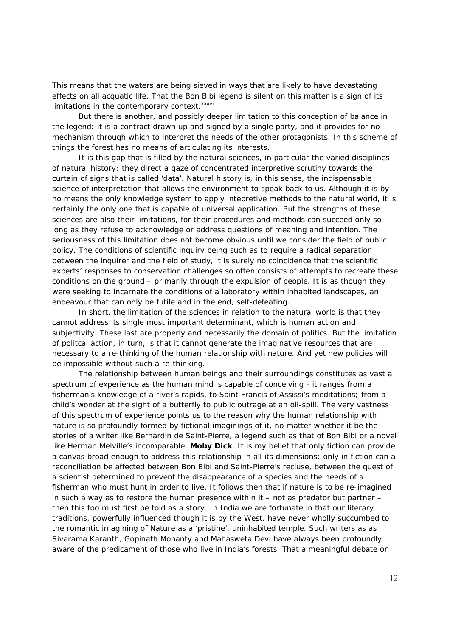This means that the waters are being sieved in ways that are likely to have devastating effects on all acquatic life. That the Bon Bibi legend is silent on this matter is a sign of its limitations in the contemporary context. xxxvi

 But there is another, and possibly deeper limitation to this conception of balance in the legend: it is a contract drawn up and signed by a single party, and it provides for no mechanism through which to interpret the needs of the other protagonists. In this scheme of things the forest has no means of articulating its interests.

 It is this gap that is filled by the natural sciences, in particular the varied disciplines of natural history: they direct a gaze of concentrated interpretive scrutiny towards the curtain of signs that is called 'data'. Natural history is, in this sense, the indispensable science of interpretation that allows the environment to speak back to us. Although it is by no means the only knowledge system to apply intepretive methods to the natural world, it is certainly the only one that is capable of universal application. But the strengths of these sciences are also their limitations, for their procedures and methods can succeed only so long as they refuse to acknowledge or address questions of meaning and intention. The seriousness of this limitation does not become obvious until we consider the field of public policy. The conditions of scientific inquiry being such as to require a radical separation between the inquirer and the field of study, it is surely no coincidence that the scientific experts' responses to conservation challenges so often consists of attempts to recreate these conditions on the ground – primarily through the expulsion of people. It is as though they were seeking to incarnate the conditions of a laboratory within inhabited landscapes, an endeavour that can only be futile and in the end, self-defeating.

In short, the limitation of the sciences in relation to the natural world is that they cannot address its single most important determinant, which is human action and subjectivity. These last are properly and necessarily the domain of politics. But the limitation of politcal action, in turn, is that it cannot generate the imaginative resources that are necessary to a re-thinking of the human relationship with nature. And yet new policies will be impossible without such a re-thinking.

The relationship between human beings and their surroundings constitutes as vast a spectrum of experience as the human mind is capable of conceiving - it ranges from a fisherman's knowledge of a river's rapids, to Saint Francis of Assissi's meditations; from a child's wonder at the sight of a butterfly to public outrage at an oil-spill. The very vastness of this spectrum of experience points us to the reason why the human relationship with nature is so profoundly formed by fictional imaginings of it, no matter whether it be the stories of a writer like Bernardin de Saint-Pierre, a legend such as that of Bon Bibi or a novel like Herman Melville's incomparable, **Moby Dick**. It is my belief that only fiction can provide a canvas broad enough to address this relationship in all its dimensions; only in fiction can a reconciliation be affected between Bon Bibi and Saint-Pierre's recluse, between the quest of a scientist determined to prevent the disappearance of a species and the needs of a fisherman who must hunt in order to live. It follows then that if nature is to be re-imagined in such a way as to restore the human presence within it  $-$  not as predator but partner  $$ then this too must first be told as a story. In India we are fortunate in that our literary traditions, powerfully influenced though it is by the West, have never wholly succumbed to the romantic imagining of Nature as a 'pristine', uninhabited temple. Such writers as as Sivarama Karanth, Gopinath Mohanty and Mahasweta Devi have always been profoundly aware of the predicament of those who live in India's forests. That a meaningful debate on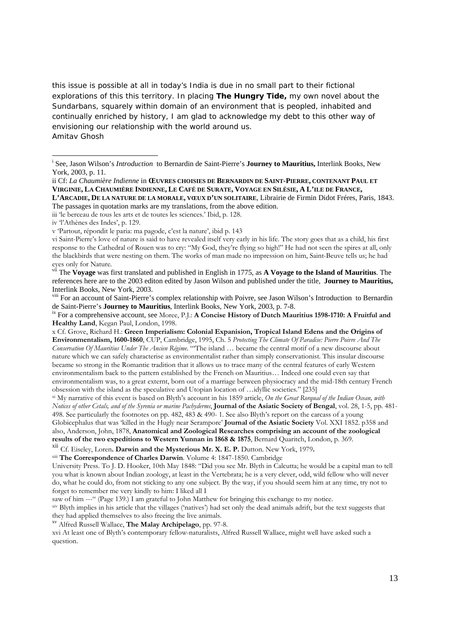this issue is possible at all in today's India is due in no small part to their fictional explorations of this this territory. In placing **The Hungry Tide,** my own novel about the Sundarbans, squarely within domain of an environment that is peopled, inhabited and continually enriched by history, I am glad to acknowledge my debt to this other way of envisioning our relationship with the world around us. Amitav Ghosh

iv 'l'Athènes des Indes', p. 129.

saw of him ---" (Page 139.) I am grateful to John Matthew for bringing this exchange to my notice.<br>
xiv Blyth implies in his article that the villages ('natives') had set only the dead animals adrift, but the text suggests they had applied themselves to also freeing the live animals.

xv Alfred Russell Wallace, **The Malay Archipelago**, pp. 97-8.

xvi At least one of Blyth's contemporary fellow-naturalists, Alfred Russell Wallace, might well have asked such a question.

i See, Jason Wilson's *Introduction* to Bernardin de Saint-Pierre's **Journey to Mauritius,** Interlink Books, New York, 2003, p. 11.

ii Cf: *La Chaumière Indienne* in **ŒUVRES CHOISIES DE BERNARDIN DE SAINT-PIERRE, CONTENANT PAUL ET VIRGINIE, LA CHAUMIÈRE INDIENNE, LE CAFÉ DE SURATE, VOYAGE EN SILÈSIE, A L'ILE DE FRANCE,**

**L'ARCADIE, DE LA NATURE DE LA MORALE, VŒUX D'UN SOLITAIRE**, Librairie de Firmin Didot Fréres, Paris, 1843. The passages in quotation marks are my translations, from the above edition.

iii 'le berceau de tous les arts et de toutes les sciences.' Ibid, p. 128.

v 'Partout, répondit le paria: ma pagode, c'est la nature', ibid p. 143

vi Saint-Pierre's love of nature is said to have revealed itself very early in his life. The story goes that as a child, his first response to the Cathedral of Rouen was to cry: "My God, they're flying so high!" He had not seen the spires at all, only the blackbirds that were nesting on them. The works of man made no impression on him, Saint-Beuve tells us; he had eyes only for Nature.

vii The **Voyage** was first translated and published in English in 1775, as **A Voyage to the Island of Mauritius**. The references here are to the 2003 editon edited by Jason Wilson and published under the title, **Journey to Mauritius,**  Interlink Books, New York, 2003.

<sup>&</sup>lt;sup>viii</sup> For an account of Saint-Pierre's complex relationship with Poivre, see Jason Wilson's Introduction to Bernardin<br>de Saint-Pierre's **Journey to Mauritius**, Interlink Books, New York, 2003, p. 7-8.

<sup>&</sup>lt;sup>ix</sup> For a comprehensive account, see Moree, P.J.: **A Concise History of Dutch Mauritius 1598-1710: A Fruitful and Healthy Land**, Kegan Paul, London, 1998.

x Cf. Grove, Richard H.: **Green Imperialism: Colonial Expanision, Tropical Island Edens and the Origins of Environmentalism, 1600-1860**, CUP, Cambridge, 1995, Ch. 5 *Protecting The Climate Of Paradise: Pierre Poivre And The Conservation Of Mauritius Under The Ancien Régime*. "'The island … became the central motif of a new discourse about nature which we can safely characterise as environmentalist rather than simply conservationist. This insular discourse became so strong in the Romantic tradition that it allows us to trace many of the central features of early Western environmentalism back to the pattern established by the French on Mauritius… Indeed one could even say that environmentalism was, to a great externt, born out of a marriage between physiocracy and the mid-18th century French obsession with the island as the speculative and Utopian location of …idyllic societies." [235]

xi My narrative of this event is based on Blyth's account in his 1859 article, *On the Great Rorqual of the Indian Ocean, with Notices of other Cetals, and of the Syrenia or marine Pachyderms*, **Journal of the Asiatic Society of Bengal**, vol. 28, 1-5, pp. 481- 498. See particularly the footnotes on pp. 482, 483 & 490- 1. See also Blyth's report on the carcass of a young Globicephalus that was 'killed in the Hugly near Serampore' **Journal of the Asiatic Society** Vol. XXI 1852. p358 and also, Anderson, John, 1878, **Anatomical and Zoological Researches comprising an account of the zoological results of the two expeditions to Western Yunnan in 1868 & 1875**, Bernard Quaritch, London, p. 369.

xii Cf. Eiseley, Loren**. Darwin and the Mysterious Mr. X. E. P.** Dutton. New York, 1979**.** 

xiii **The Correspondence of Charles Darwin**. Volume 4: 1847-1850. Cambridge

University Press. To J. D. Hooker, 10th May 1848: "Did you see Mr. Blyth in Calcutta; he would be a capital man to tell you what is known about Indian zoology, at least in the Vertebrata; he is a very clever, odd, wild fellow who will never do, what he could do, from not sticking to any one subject. By the way, if you should seem him at any time, try not to forget to remember me very kindly to him: I liked all I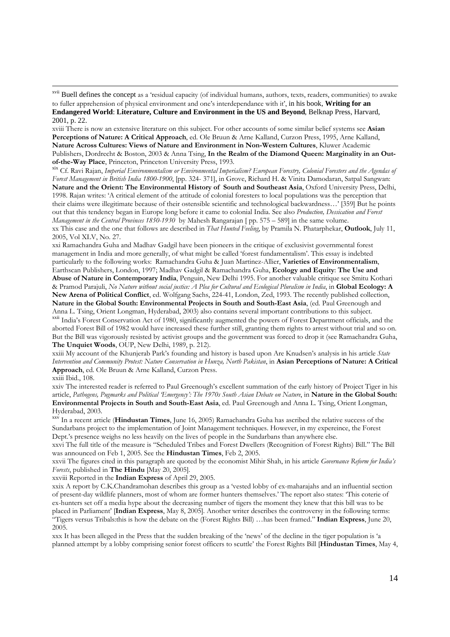xvii Buell defines the concept as a 'residual capacity (of individual humans, authors, texts, readers, communities) to awake

xviii There is now an extensive literature on this subject. For other accounts of some similar belief systems see **Asian Perceptions of Nature: A Critical Approach**, ed. Ole Bruun & Arne Kalland, Curzon Press, 1995, Arne Kalland, **Nature Across Cultures: Views of Nature and Environment in Non-Western Cultures**, Kluwer Academic Publishers, Dordrecht & Boston, 2003 & Anna Tsing, In the Realm of the Diamond Queen: Marginality in an Out-<br>
of-the-Way Place, Princeton, Princeton University Press, 1993.

<sup>xix</sup> Cf. Ravi Rajan, Imperial Environmentalism or Environmental Imperialism? European Forestry, Colonial Foresters and the Agendas of *Forest Management in British India 1800-1900*, [pp. 324- 371], in Grove, Richard H. & Vinita Damodaran, Satpal Sangwan: **Nature and the Orient: The Environmental History of South and Southeast Asia**, Oxford University Press, Delhi, 1998. Rajan writes: 'A critical element of the attitude of colonial foresters to local populations was the perception that their claims were illegitimate because of their ostensible scientific and technological backwardness…' [359] But he points out that this tendency began in Europe long before it came to colonial India. See also *Production, Dessication and Forest* 

*Management in the Central Provinces 1850-1930* by Mahesh Rangarajan [ pp. 575 – 589] in the same volume. xx This case and the one that follows are described in *That Hunted Feeling*, by Pramila N. Phatarphekar, **Outlook**, July 11,

2005, Vol XLV, No. 27.

xxi Ramachandra Guha and Madhav Gadgil have been pioneers in the critique of exclusivist governmental forest management in India and more generally, of what might be called 'forest fundamentalism'. This essay is indebted particularly to the following works: Ramachandra Guha & Juan Martinez-Allier, **Varieties of Environmentalism**, Earthscan Publishers, London, 1997; Madhav Gadgil & Ramachandra Guha, **Ecology and Equity**: **The Use and Abuse of Nature in Contemporary India**, Penguin, New Delhi 1995. For another valuable critique see Smitu Kothari

& Pramod Parajuli, *No Nature without social justice: A Plea for Cultural and Ecological Pluralism in India*, in **Global Ecology: A New Arena of Political Conflict**, ed. Wolfgang Sachs, 224-41, London, Zed, 1993. The recently published collection, **Nature in the Global South: Environmental Projects in South and South-East Asia**, (ed. Paul Greenough and

Anna L. Tsing, Orient Longman, Hyderabad, 2003) also contains several important contributions to this subject.<br><sup>xxii</sup> India's Forest Conservation Act of 1980, significantly augmented the powers of Forest Department officia aborted Forest Bill of 1982 would have increased these further still, granting them rights to arrest without trial and so on. But the Bill was vigorously resisted by activist groups and the government was forced to drop it (see Ramachandra Guha, **The Unquiet Woods**, OUP, New Delhi, 1989, p. 212).

xxiii My account of the Khunjerab Park's founding and history is based upon Are Knudsen's analysis in his article *State Intervention and Community Protest: Nature Conservation in Hunza, North Pakistan*, in **Asian Perceptions of Nature: A Critical Approach**, ed. Ole Bruun & Arne Kalland, Curzon Press.

xxiii Ibid., 108.

xxiv The interested reader is referred to Paul Greenough's excellent summation of the early history of Project Tiger in his article, *Pathogens, Pugmarks and Political 'Emergency': The 1970s South Asian Debate on Nature*, in **Nature in the Global South: Environmental Projects in South and South-East Asia**, ed. Paul Greenough and Anna L. Tsing, Orient Longman, Hyderabad, 2003.

xxv In a recent article (**Hindustan Times**, June 16, 2005) Ramachandra Guha has ascribed the relative success of the Sundarbans project to the implementation of Joint Management techniques. However, in my expereince, the Forest Dept.'s presence weighs no less heavily on the lives of people in the Sundarbans than anywhere else.

xxvi The full title of the measure is "Scheduled Tribes and Forest Dwellers (Recognition of Forest Rights) Bill." The Bill was announced on Feb 1, 2005. See the **Hindustan Times**, Feb 2, 2005.

xxvii The figures cited in this paragraph are quoted by the economist Mihir Shah, in his article *Governance Reform for India's Forests*, published in **The Hindu** [May 20, 2005].

xxviii Reported in the **Indian Express** of April 29, 2005.

xxix A report by C.K.Chandramohan describes this group as a 'vested lobby of ex-maharajahs and an influential section of present-day wildlife planners, most of whom are former hunters themselves.' The report also states: 'This coterie of ex-hunters set off a media hype about the decreasing number of tigers the moment they knew that this bill was to be placed in Parliament' [**Indian Express**, May 8, 2005]. Another writer describes the controversy in the following terms: "Tigers versus Tribals:this is how the debate on the (Forest Rights Bill) …has been framed." **Indian Express**, June 20, 2005.

xxx It has been alleged in the Press that the sudden breaking of the 'news' of the decline in the tiger population is 'a planned attempt by a lobby comprising senior forest officers to scuttle' the Forest Rights Bill [**Hindustan Times**, May 4,

to fuller apprehension of physical environment and one's interdependance with it', in his book, **Writing for an Endangered World**: **Literature, Culture and Environment in the US and Beyond**, Belknap Press, Harvard, 2001, p. 22.